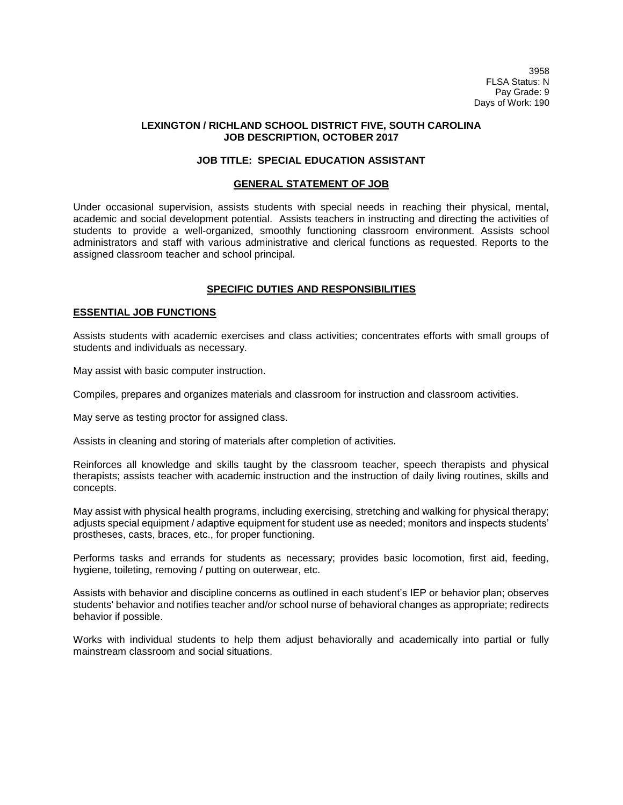3958 FLSA Status: N Pay Grade: 9 Days of Work: 190

# **LEXINGTON / RICHLAND SCHOOL DISTRICT FIVE, SOUTH CAROLINA JOB DESCRIPTION, OCTOBER 2017**

# **JOB TITLE: SPECIAL EDUCATION ASSISTANT**

### **GENERAL STATEMENT OF JOB**

Under occasional supervision, assists students with special needs in reaching their physical, mental, academic and social development potential. Assists teachers in instructing and directing the activities of students to provide a well-organized, smoothly functioning classroom environment. Assists school administrators and staff with various administrative and clerical functions as requested. Reports to the assigned classroom teacher and school principal.

# **SPECIFIC DUTIES AND RESPONSIBILITIES**

### **ESSENTIAL JOB FUNCTIONS**

Assists students with academic exercises and class activities; concentrates efforts with small groups of students and individuals as necessary.

May assist with basic computer instruction.

Compiles, prepares and organizes materials and classroom for instruction and classroom activities.

May serve as testing proctor for assigned class.

Assists in cleaning and storing of materials after completion of activities.

Reinforces all knowledge and skills taught by the classroom teacher, speech therapists and physical therapists; assists teacher with academic instruction and the instruction of daily living routines, skills and concepts.

May assist with physical health programs, including exercising, stretching and walking for physical therapy; adjusts special equipment / adaptive equipment for student use as needed; monitors and inspects students' prostheses, casts, braces, etc., for proper functioning.

Performs tasks and errands for students as necessary; provides basic locomotion, first aid, feeding, hygiene, toileting, removing / putting on outerwear, etc.

Assists with behavior and discipline concerns as outlined in each student's IEP or behavior plan; observes students' behavior and notifies teacher and/or school nurse of behavioral changes as appropriate; redirects behavior if possible.

Works with individual students to help them adjust behaviorally and academically into partial or fully mainstream classroom and social situations.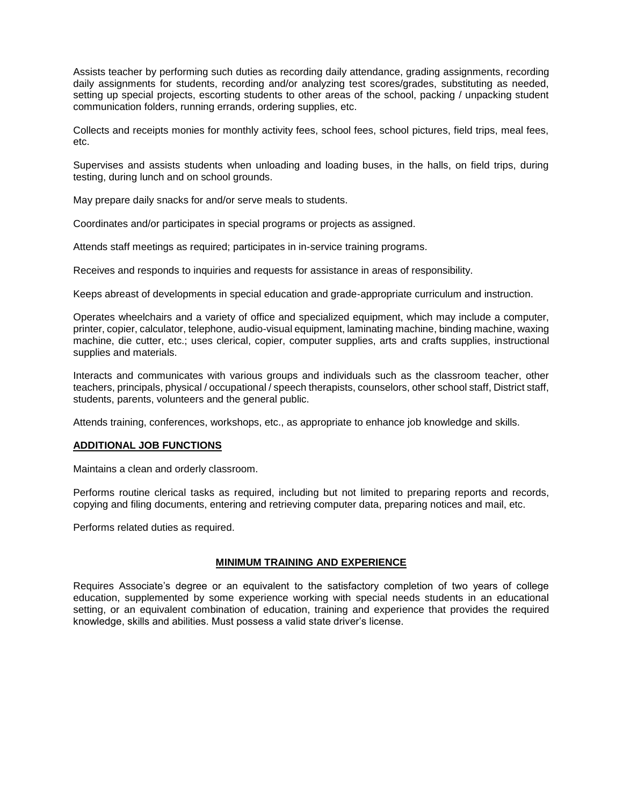Assists teacher by performing such duties as recording daily attendance, grading assignments, recording daily assignments for students, recording and/or analyzing test scores/grades, substituting as needed, setting up special projects, escorting students to other areas of the school, packing / unpacking student communication folders, running errands, ordering supplies, etc.

Collects and receipts monies for monthly activity fees, school fees, school pictures, field trips, meal fees, etc.

Supervises and assists students when unloading and loading buses, in the halls, on field trips, during testing, during lunch and on school grounds.

May prepare daily snacks for and/or serve meals to students.

Coordinates and/or participates in special programs or projects as assigned.

Attends staff meetings as required; participates in in-service training programs.

Receives and responds to inquiries and requests for assistance in areas of responsibility.

Keeps abreast of developments in special education and grade-appropriate curriculum and instruction.

Operates wheelchairs and a variety of office and specialized equipment, which may include a computer, printer, copier, calculator, telephone, audio-visual equipment, laminating machine, binding machine, waxing machine, die cutter, etc.; uses clerical, copier, computer supplies, arts and crafts supplies, instructional supplies and materials.

Interacts and communicates with various groups and individuals such as the classroom teacher, other teachers, principals, physical / occupational / speech therapists, counselors, other school staff, District staff, students, parents, volunteers and the general public.

Attends training, conferences, workshops, etc., as appropriate to enhance job knowledge and skills.

# **ADDITIONAL JOB FUNCTIONS**

Maintains a clean and orderly classroom.

Performs routine clerical tasks as required, including but not limited to preparing reports and records, copying and filing documents, entering and retrieving computer data, preparing notices and mail, etc.

Performs related duties as required.

# **MINIMUM TRAINING AND EXPERIENCE**

Requires Associate's degree or an equivalent to the satisfactory completion of two years of college education, supplemented by some experience working with special needs students in an educational setting, or an equivalent combination of education, training and experience that provides the required knowledge, skills and abilities. Must possess a valid state driver's license.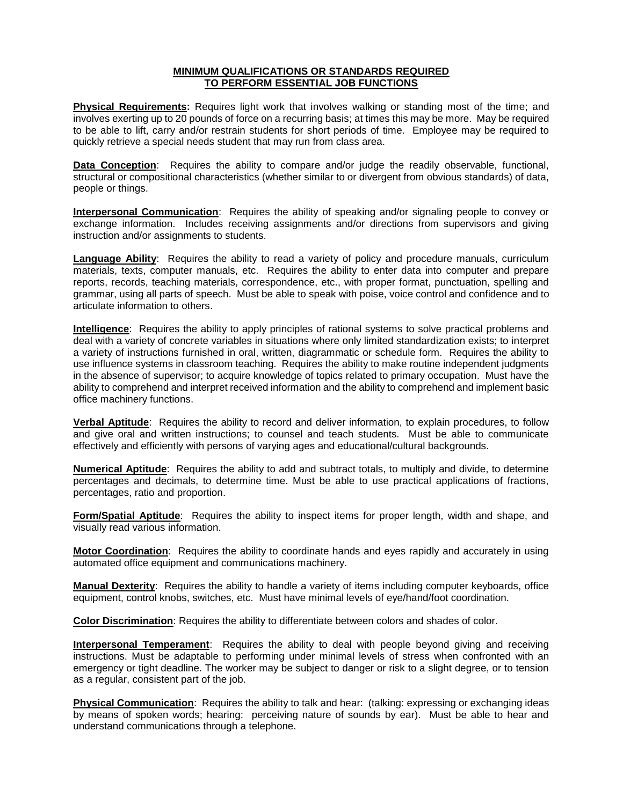## **MINIMUM QUALIFICATIONS OR STANDARDS REQUIRED TO PERFORM ESSENTIAL JOB FUNCTIONS**

**Physical Requirements:** Requires light work that involves walking or standing most of the time; and involves exerting up to 20 pounds of force on a recurring basis; at times this may be more. May be required to be able to lift, carry and/or restrain students for short periods of time. Employee may be required to quickly retrieve a special needs student that may run from class area.

**Data Conception**: Requires the ability to compare and/or judge the readily observable, functional, structural or compositional characteristics (whether similar to or divergent from obvious standards) of data, people or things.

**Interpersonal Communication**: Requires the ability of speaking and/or signaling people to convey or exchange information. Includes receiving assignments and/or directions from supervisors and giving instruction and/or assignments to students.

**Language Ability**: Requires the ability to read a variety of policy and procedure manuals, curriculum materials, texts, computer manuals, etc. Requires the ability to enter data into computer and prepare reports, records, teaching materials, correspondence, etc., with proper format, punctuation, spelling and grammar, using all parts of speech. Must be able to speak with poise, voice control and confidence and to articulate information to others.

**Intelligence**: Requires the ability to apply principles of rational systems to solve practical problems and deal with a variety of concrete variables in situations where only limited standardization exists; to interpret a variety of instructions furnished in oral, written, diagrammatic or schedule form. Requires the ability to use influence systems in classroom teaching. Requires the ability to make routine independent judgments in the absence of supervisor; to acquire knowledge of topics related to primary occupation. Must have the ability to comprehend and interpret received information and the ability to comprehend and implement basic office machinery functions.

**Verbal Aptitude**: Requires the ability to record and deliver information, to explain procedures, to follow and give oral and written instructions; to counsel and teach students. Must be able to communicate effectively and efficiently with persons of varying ages and educational/cultural backgrounds.

**Numerical Aptitude**: Requires the ability to add and subtract totals, to multiply and divide, to determine percentages and decimals, to determine time. Must be able to use practical applications of fractions, percentages, ratio and proportion.

**Form/Spatial Aptitude**: Requires the ability to inspect items for proper length, width and shape, and visually read various information.

**Motor Coordination**: Requires the ability to coordinate hands and eyes rapidly and accurately in using automated office equipment and communications machinery.

**Manual Dexterity**: Requires the ability to handle a variety of items including computer keyboards, office equipment, control knobs, switches, etc. Must have minimal levels of eye/hand/foot coordination.

**Color Discrimination**: Requires the ability to differentiate between colors and shades of color.

**Interpersonal Temperament**: Requires the ability to deal with people beyond giving and receiving instructions. Must be adaptable to performing under minimal levels of stress when confronted with an emergency or tight deadline. The worker may be subject to danger or risk to a slight degree, or to tension as a regular, consistent part of the job.

**Physical Communication**: Requires the ability to talk and hear: (talking: expressing or exchanging ideas by means of spoken words; hearing: perceiving nature of sounds by ear). Must be able to hear and understand communications through a telephone.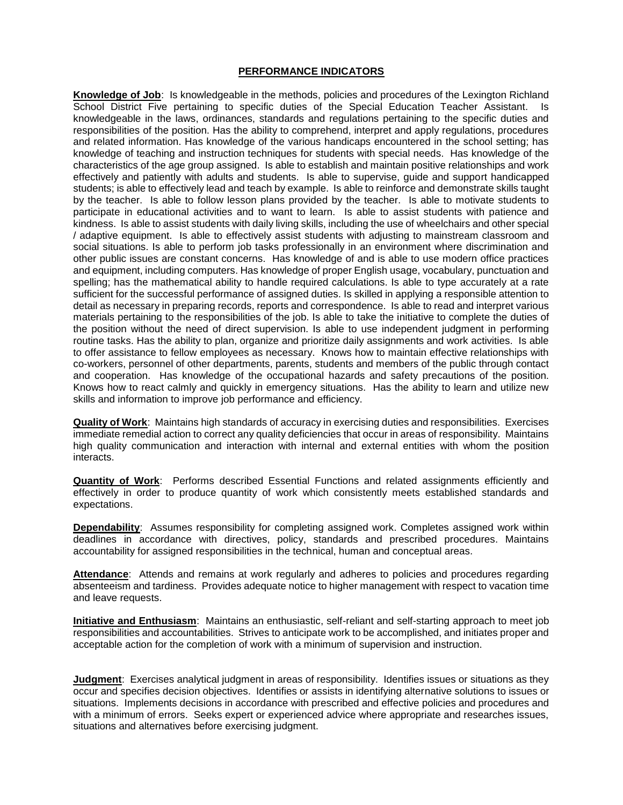# **PERFORMANCE INDICATORS**

**Knowledge of Job**: Is knowledgeable in the methods, policies and procedures of the Lexington Richland School District Five pertaining to specific duties of the Special Education Teacher Assistant. Is knowledgeable in the laws, ordinances, standards and regulations pertaining to the specific duties and responsibilities of the position. Has the ability to comprehend, interpret and apply regulations, procedures and related information. Has knowledge of the various handicaps encountered in the school setting; has knowledge of teaching and instruction techniques for students with special needs. Has knowledge of the characteristics of the age group assigned. Is able to establish and maintain positive relationships and work effectively and patiently with adults and students. Is able to supervise, guide and support handicapped students; is able to effectively lead and teach by example. Is able to reinforce and demonstrate skills taught by the teacher. Is able to follow lesson plans provided by the teacher. Is able to motivate students to participate in educational activities and to want to learn. Is able to assist students with patience and kindness. Is able to assist students with daily living skills, including the use of wheelchairs and other special / adaptive equipment. Is able to effectively assist students with adjusting to mainstream classroom and social situations. Is able to perform job tasks professionally in an environment where discrimination and other public issues are constant concerns. Has knowledge of and is able to use modern office practices and equipment, including computers. Has knowledge of proper English usage, vocabulary, punctuation and spelling; has the mathematical ability to handle required calculations. Is able to type accurately at a rate sufficient for the successful performance of assigned duties. Is skilled in applying a responsible attention to detail as necessary in preparing records, reports and correspondence. Is able to read and interpret various materials pertaining to the responsibilities of the job. Is able to take the initiative to complete the duties of the position without the need of direct supervision. Is able to use independent judgment in performing routine tasks. Has the ability to plan, organize and prioritize daily assignments and work activities. Is able to offer assistance to fellow employees as necessary. Knows how to maintain effective relationships with co-workers, personnel of other departments, parents, students and members of the public through contact and cooperation. Has knowledge of the occupational hazards and safety precautions of the position. Knows how to react calmly and quickly in emergency situations. Has the ability to learn and utilize new skills and information to improve job performance and efficiency.

**Quality of Work**: Maintains high standards of accuracy in exercising duties and responsibilities. Exercises immediate remedial action to correct any quality deficiencies that occur in areas of responsibility. Maintains high quality communication and interaction with internal and external entities with whom the position interacts.

**Quantity of Work**: Performs described Essential Functions and related assignments efficiently and effectively in order to produce quantity of work which consistently meets established standards and expectations.

**Dependability**: Assumes responsibility for completing assigned work. Completes assigned work within deadlines in accordance with directives, policy, standards and prescribed procedures. Maintains accountability for assigned responsibilities in the technical, human and conceptual areas.

Attendance: Attends and remains at work regularly and adheres to policies and procedures regarding absenteeism and tardiness. Provides adequate notice to higher management with respect to vacation time and leave requests.

**Initiative and Enthusiasm**: Maintains an enthusiastic, self-reliant and self-starting approach to meet job responsibilities and accountabilities. Strives to anticipate work to be accomplished, and initiates proper and acceptable action for the completion of work with a minimum of supervision and instruction.

**Judgment**: Exercises analytical judgment in areas of responsibility. Identifies issues or situations as they occur and specifies decision objectives. Identifies or assists in identifying alternative solutions to issues or situations. Implements decisions in accordance with prescribed and effective policies and procedures and with a minimum of errors. Seeks expert or experienced advice where appropriate and researches issues, situations and alternatives before exercising judgment.